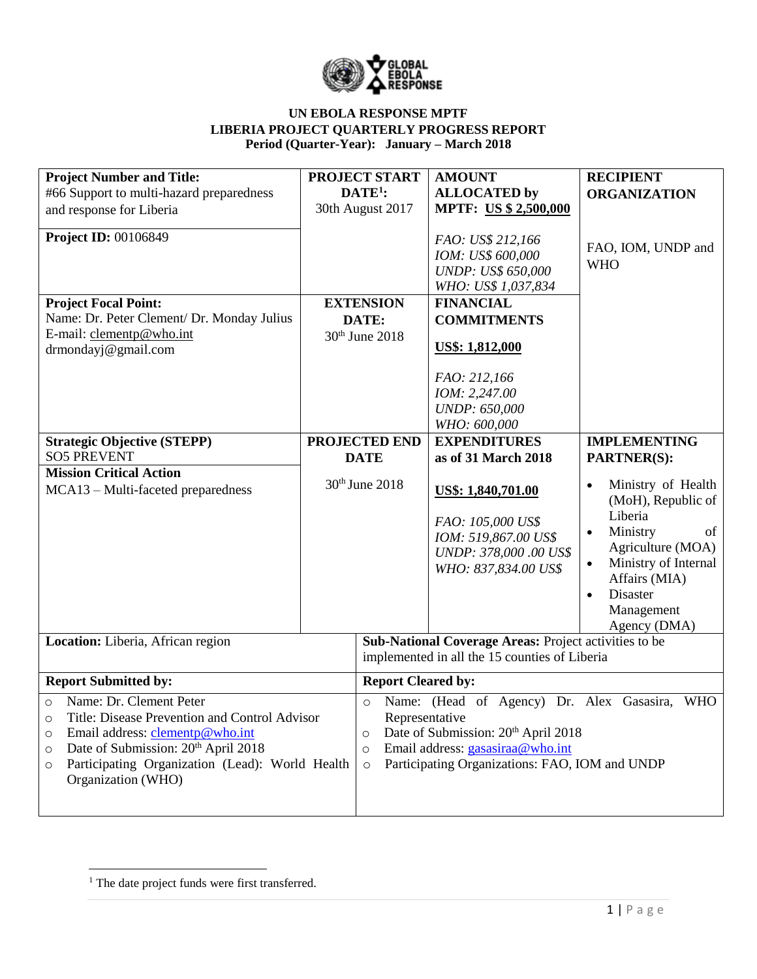

| <b>Project Number and Title:</b>                                                                                                                                                                                                                                                   |                                                                                                                                                                                                                                                                | <b>PROJECT START</b> | <b>AMOUNT</b>                                                                                                    | <b>RECIPIENT</b>                                                                                                                                                                                                                  |  |
|------------------------------------------------------------------------------------------------------------------------------------------------------------------------------------------------------------------------------------------------------------------------------------|----------------------------------------------------------------------------------------------------------------------------------------------------------------------------------------------------------------------------------------------------------------|----------------------|------------------------------------------------------------------------------------------------------------------|-----------------------------------------------------------------------------------------------------------------------------------------------------------------------------------------------------------------------------------|--|
| #66 Support to multi-hazard preparedness                                                                                                                                                                                                                                           |                                                                                                                                                                                                                                                                | $DATE1$ :            | <b>ALLOCATED by</b>                                                                                              | <b>ORGANIZATION</b>                                                                                                                                                                                                               |  |
| and response for Liberia                                                                                                                                                                                                                                                           |                                                                                                                                                                                                                                                                | 30th August 2017     | <b>MPTF: US \$ 2,500,000</b>                                                                                     |                                                                                                                                                                                                                                   |  |
| <b>Project ID: 00106849</b>                                                                                                                                                                                                                                                        |                                                                                                                                                                                                                                                                |                      | FAO: US\$ 212,166<br>IOM: US\$ 600,000<br><b>UNDP: US\$ 650,000</b><br>WHO: US\$ 1,037,834                       | FAO, IOM, UNDP and<br><b>WHO</b>                                                                                                                                                                                                  |  |
| <b>Project Focal Point:</b>                                                                                                                                                                                                                                                        |                                                                                                                                                                                                                                                                | <b>EXTENSION</b>     | <b>FINANCIAL</b>                                                                                                 |                                                                                                                                                                                                                                   |  |
| Name: Dr. Peter Clement/ Dr. Monday Julius                                                                                                                                                                                                                                         |                                                                                                                                                                                                                                                                | DATE:                | <b>COMMITMENTS</b>                                                                                               |                                                                                                                                                                                                                                   |  |
| E-mail: clementp@who.int                                                                                                                                                                                                                                                           | 30 <sup>th</sup> June 2018                                                                                                                                                                                                                                     |                      |                                                                                                                  |                                                                                                                                                                                                                                   |  |
| drmondayj@gmail.com                                                                                                                                                                                                                                                                |                                                                                                                                                                                                                                                                |                      | US\$: 1,812,000                                                                                                  |                                                                                                                                                                                                                                   |  |
|                                                                                                                                                                                                                                                                                    |                                                                                                                                                                                                                                                                |                      | FAO: 212,166<br>IOM: 2,247.00<br><b>UNDP: 650,000</b><br>WHO: 600,000                                            |                                                                                                                                                                                                                                   |  |
| <b>Strategic Objective (STEPP)</b>                                                                                                                                                                                                                                                 | <b>PROJECTED END</b>                                                                                                                                                                                                                                           |                      | <b>EXPENDITURES</b>                                                                                              | <b>IMPLEMENTING</b>                                                                                                                                                                                                               |  |
| <b>SO5 PREVENT</b>                                                                                                                                                                                                                                                                 | <b>DATE</b>                                                                                                                                                                                                                                                    |                      | as of 31 March 2018                                                                                              | <b>PARTNER(S):</b>                                                                                                                                                                                                                |  |
| <b>Mission Critical Action</b>                                                                                                                                                                                                                                                     |                                                                                                                                                                                                                                                                |                      |                                                                                                                  |                                                                                                                                                                                                                                   |  |
| MCA13 – Multi-faceted preparedness                                                                                                                                                                                                                                                 | 30th June 2018                                                                                                                                                                                                                                                 |                      | US\$: 1,840,701.00<br>FAO: 105,000 US\$<br>IOM: 519,867.00 US\$<br>UNDP: 378,000.00 US\$<br>WHO: 837,834.00 US\$ | Ministry of Health<br>$\bullet$<br>(MoH), Republic of<br>Liberia<br>Ministry<br>of<br>$\bullet$<br>Agriculture (MOA)<br>Ministry of Internal<br>$\bullet$<br>Affairs (MIA)<br>Disaster<br>$\bullet$<br>Management<br>Agency (DMA) |  |
| Location: Liberia, African region                                                                                                                                                                                                                                                  | Sub-National Coverage Areas: Project activities to be<br>implemented in all the 15 counties of Liberia                                                                                                                                                         |                      |                                                                                                                  |                                                                                                                                                                                                                                   |  |
| <b>Report Submitted by:</b>                                                                                                                                                                                                                                                        | <b>Report Cleared by:</b>                                                                                                                                                                                                                                      |                      |                                                                                                                  |                                                                                                                                                                                                                                   |  |
| Name: Dr. Clement Peter<br>$\circ$<br>Title: Disease Prevention and Control Advisor<br>O<br>Email address: clementp@who.int<br>$\circ$<br>Date of Submission: 20 <sup>th</sup> April 2018<br>$\circ$<br>Participating Organization (Lead): World Health<br>O<br>Organization (WHO) | Name: (Head of Agency) Dr. Alex Gasasira,<br><b>WHO</b><br>$\circ$<br>Representative<br>Date of Submission: 20 <sup>th</sup> April 2018<br>$\circ$<br>Email address: gasasiraa@who.int<br>$\circ$<br>Participating Organizations: FAO, IOM and UNDP<br>$\circ$ |                      |                                                                                                                  |                                                                                                                                                                                                                                   |  |

 $\overline{\phantom{a}}$ <sup>1</sup> The date project funds were first transferred.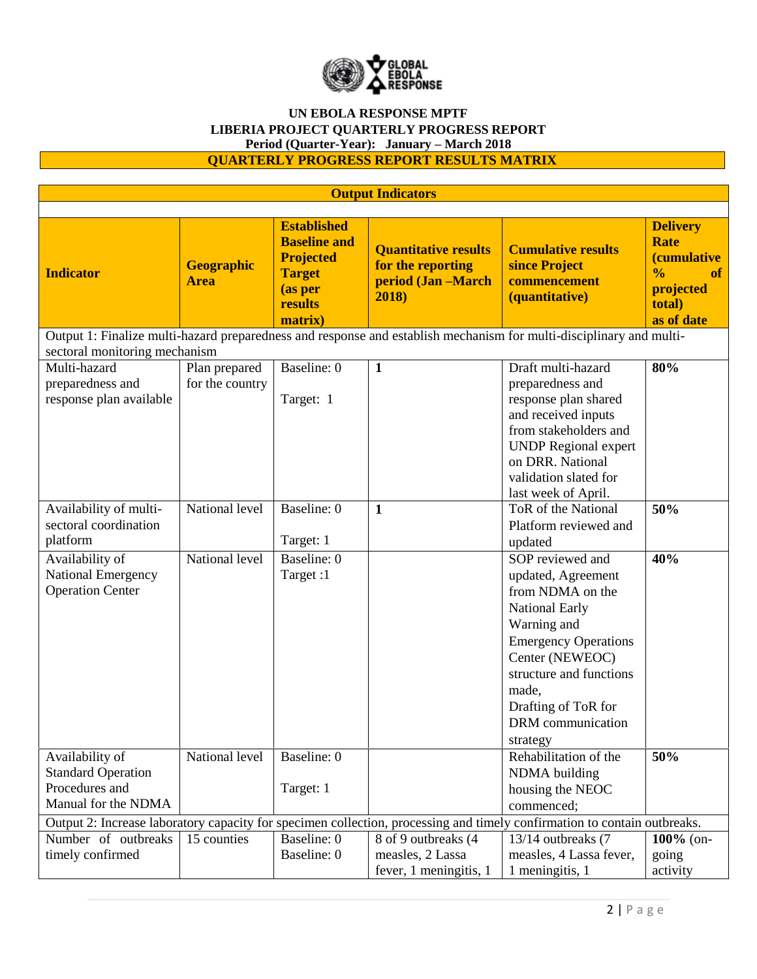

## **QUARTERLY PROGRESS REPORT RESULTS MATRIX**

| <b>Output Indicators</b>                                                                                                 |                                  |                                                                                                                 |                                                                                 |                                                                                                                                                                                                                                           |                                                                                                                                 |  |
|--------------------------------------------------------------------------------------------------------------------------|----------------------------------|-----------------------------------------------------------------------------------------------------------------|---------------------------------------------------------------------------------|-------------------------------------------------------------------------------------------------------------------------------------------------------------------------------------------------------------------------------------------|---------------------------------------------------------------------------------------------------------------------------------|--|
|                                                                                                                          |                                  |                                                                                                                 |                                                                                 |                                                                                                                                                                                                                                           |                                                                                                                                 |  |
| <b>Indicator</b>                                                                                                         | <b>Geographic</b><br><b>Area</b> | <b>Established</b><br><b>Baseline and</b><br><b>Projected</b><br><b>Target</b><br>(as per<br>results<br>matrix) | <b>Quantitative results</b><br>for the reporting<br>period (Jan -March<br>2018) | <b>Cumulative results</b><br>since Project<br>commencement<br>(quantitative)                                                                                                                                                              | <b>Delivery</b><br><b>Rate</b><br><i><b>(cumulative)</b></i><br>$\frac{0}{0}$<br><b>of</b><br>projected<br>total)<br>as of date |  |
| Output 1: Finalize multi-hazard preparedness and response and establish mechanism for multi-disciplinary and multi-      |                                  |                                                                                                                 |                                                                                 |                                                                                                                                                                                                                                           |                                                                                                                                 |  |
| sectoral monitoring mechanism                                                                                            |                                  |                                                                                                                 |                                                                                 |                                                                                                                                                                                                                                           |                                                                                                                                 |  |
| Multi-hazard<br>preparedness and<br>response plan available                                                              | Plan prepared<br>for the country | Baseline: 0<br>Target: 1                                                                                        | $\mathbf{1}$                                                                    | Draft multi-hazard<br>preparedness and<br>response plan shared<br>and received inputs<br>from stakeholders and<br><b>UNDP</b> Regional expert<br>on DRR. National<br>validation slated for                                                | 80%                                                                                                                             |  |
|                                                                                                                          |                                  |                                                                                                                 |                                                                                 | last week of April.                                                                                                                                                                                                                       |                                                                                                                                 |  |
| Availability of multi-<br>sectoral coordination<br>platform                                                              | National level                   | Baseline: 0<br>Target: 1                                                                                        | $\mathbf{1}$                                                                    | ToR of the National<br>Platform reviewed and<br>updated                                                                                                                                                                                   | 50%                                                                                                                             |  |
| Availability of<br><b>National Emergency</b><br><b>Operation Center</b>                                                  | National level                   | Baseline: 0<br>Target:1                                                                                         |                                                                                 | SOP reviewed and<br>updated, Agreement<br>from NDMA on the<br>National Early<br>Warning and<br><b>Emergency Operations</b><br>Center (NEWEOC)<br>structure and functions<br>made,<br>Drafting of ToR for<br>DRM communication<br>strategy | 40%                                                                                                                             |  |
| Availability of<br><b>Standard Operation</b><br>Procedures and<br>Manual for the NDMA                                    | National level                   | Baseline: 0<br>Target: 1                                                                                        |                                                                                 | Rehabilitation of the<br>NDMA building<br>housing the NEOC<br>commenced;                                                                                                                                                                  | 50%                                                                                                                             |  |
| Output 2: Increase laboratory capacity for specimen collection, processing and timely confirmation to contain outbreaks. |                                  |                                                                                                                 |                                                                                 |                                                                                                                                                                                                                                           |                                                                                                                                 |  |
| Number of outbreaks<br>timely confirmed                                                                                  | 15 counties                      | Baseline: 0<br>Baseline: 0                                                                                      | 8 of 9 outbreaks (4<br>measles, 2 Lassa<br>fever, 1 meningitis, 1               | 13/14 outbreaks (7<br>measles, 4 Lassa fever,<br>1 meningitis, 1                                                                                                                                                                          | 100% (on-<br>going<br>activity                                                                                                  |  |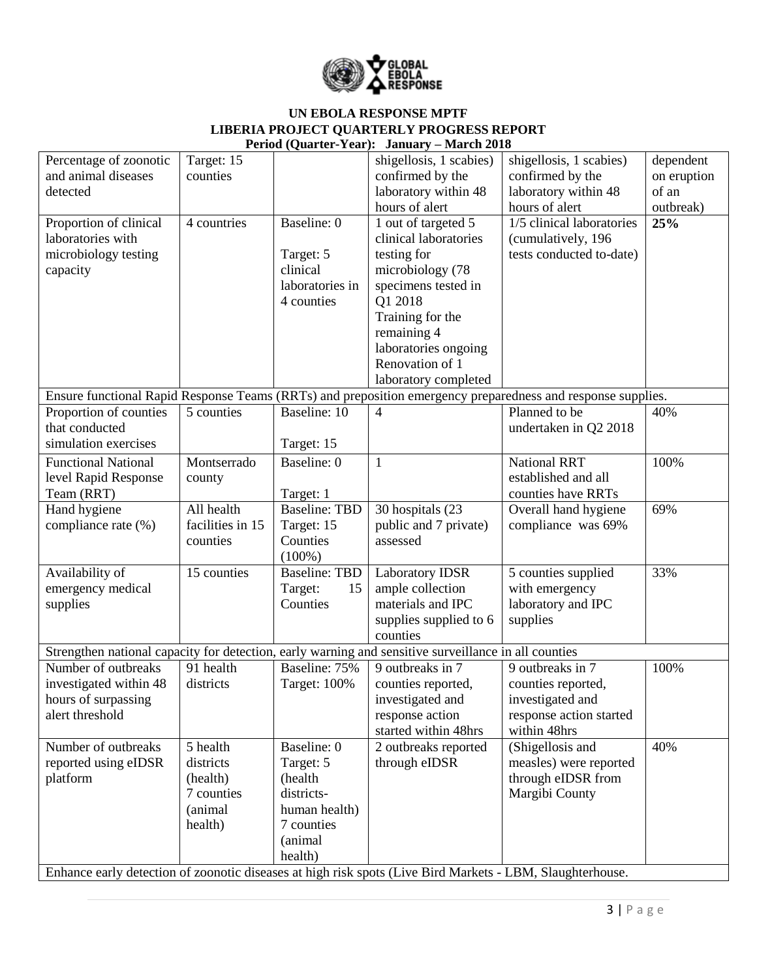

# **UN EBOLA RESPONSE MPTF LIBERIA PROJECT QUARTERLY PROGRESS REPORT**

| Period (Quarter-Year): January - March 2018                                                               |                  |                      |                         |                                                                                                             |             |  |  |
|-----------------------------------------------------------------------------------------------------------|------------------|----------------------|-------------------------|-------------------------------------------------------------------------------------------------------------|-------------|--|--|
| Percentage of zoonotic                                                                                    | Target: $15$     |                      | shigellosis, 1 scabies) | shigellosis, 1 scabies)                                                                                     | dependent   |  |  |
| and animal diseases                                                                                       | counties         |                      | confirmed by the        | confirmed by the                                                                                            | on eruption |  |  |
| detected                                                                                                  |                  |                      | laboratory within 48    | laboratory within 48                                                                                        | of an       |  |  |
|                                                                                                           |                  |                      | hours of alert          | hours of alert                                                                                              | outbreak)   |  |  |
| Proportion of clinical                                                                                    | 4 countries      | Baseline: 0          | 1 out of targeted 5     | 1/5 clinical laboratories                                                                                   | 25%         |  |  |
| laboratories with                                                                                         |                  |                      | clinical laboratories   | (cumulatively, 196                                                                                          |             |  |  |
| microbiology testing                                                                                      |                  | Target: 5            | testing for             | tests conducted to-date)                                                                                    |             |  |  |
| capacity                                                                                                  |                  | clinical             | microbiology (78        |                                                                                                             |             |  |  |
|                                                                                                           |                  | laboratories in      | specimens tested in     |                                                                                                             |             |  |  |
|                                                                                                           |                  | 4 counties           | Q1 2018                 |                                                                                                             |             |  |  |
|                                                                                                           |                  |                      | Training for the        |                                                                                                             |             |  |  |
|                                                                                                           |                  |                      | remaining 4             |                                                                                                             |             |  |  |
|                                                                                                           |                  |                      | laboratories ongoing    |                                                                                                             |             |  |  |
|                                                                                                           |                  |                      | Renovation of 1         |                                                                                                             |             |  |  |
|                                                                                                           |                  |                      | laboratory completed    |                                                                                                             |             |  |  |
|                                                                                                           |                  |                      |                         | Ensure functional Rapid Response Teams (RRTs) and preposition emergency preparedness and response supplies. |             |  |  |
| Proportion of counties                                                                                    | 5 counties       | Baseline: 10         |                         | Planned to be                                                                                               | 40%         |  |  |
| that conducted                                                                                            |                  |                      | $\overline{4}$          |                                                                                                             |             |  |  |
|                                                                                                           |                  |                      |                         | undertaken in Q2 2018                                                                                       |             |  |  |
| simulation exercises                                                                                      |                  | Target: 15           |                         |                                                                                                             |             |  |  |
| <b>Functional National</b>                                                                                | Montserrado      | Baseline: 0          | $\mathbf{1}$            | <b>National RRT</b>                                                                                         | 100%        |  |  |
| level Rapid Response                                                                                      | county           |                      |                         | established and all                                                                                         |             |  |  |
| Team (RRT)                                                                                                |                  | Target: 1            |                         | counties have RRTs                                                                                          |             |  |  |
| Hand hygiene                                                                                              | All health       | <b>Baseline: TBD</b> | 30 hospitals (23        | Overall hand hygiene                                                                                        | 69%         |  |  |
| compliance rate (%)                                                                                       | facilities in 15 | Target: 15           | public and 7 private)   | compliance was 69%                                                                                          |             |  |  |
|                                                                                                           | counties         | Counties             | assessed                |                                                                                                             |             |  |  |
|                                                                                                           |                  | $(100\%)$            |                         |                                                                                                             |             |  |  |
| Availability of                                                                                           | 15 counties      | <b>Baseline: TBD</b> | <b>Laboratory IDSR</b>  | 5 counties supplied                                                                                         | 33%         |  |  |
| emergency medical                                                                                         |                  | Target:<br>15        | ample collection        | with emergency                                                                                              |             |  |  |
| supplies                                                                                                  |                  | Counties             | materials and IPC       | laboratory and IPC                                                                                          |             |  |  |
|                                                                                                           |                  |                      | supplies supplied to 6  | supplies                                                                                                    |             |  |  |
|                                                                                                           |                  |                      | counties                |                                                                                                             |             |  |  |
| Strengthen national capacity for detection, early warning and sensitive surveillance in all counties      |                  |                      |                         |                                                                                                             |             |  |  |
| Number of outbreaks                                                                                       | 91 health        | Baseline: 75%        | 9 outbreaks in 7        | 9 outbreaks in 7                                                                                            | 100%        |  |  |
| investigated within 48                                                                                    | districts        | <b>Target: 100%</b>  | counties reported,      | counties reported,                                                                                          |             |  |  |
| hours of surpassing                                                                                       |                  |                      | investigated and        | investigated and                                                                                            |             |  |  |
| alert threshold                                                                                           |                  |                      | response action         | response action started                                                                                     |             |  |  |
|                                                                                                           |                  |                      | started within 48hrs    | within 48hrs                                                                                                |             |  |  |
| Number of outbreaks                                                                                       | 5 health         | Baseline: 0          | 2 outbreaks reported    | (Shigellosis and                                                                                            | 40%         |  |  |
| reported using eIDSR                                                                                      | districts        | Target: 5            | through eIDSR           | measles) were reported                                                                                      |             |  |  |
| platform                                                                                                  | (health)         | (health              |                         | through eIDSR from                                                                                          |             |  |  |
|                                                                                                           | 7 counties       | districts-           |                         | Margibi County                                                                                              |             |  |  |
|                                                                                                           | (animal          | human health)        |                         |                                                                                                             |             |  |  |
|                                                                                                           | health)          | 7 counties           |                         |                                                                                                             |             |  |  |
|                                                                                                           |                  | (animal              |                         |                                                                                                             |             |  |  |
|                                                                                                           |                  |                      |                         |                                                                                                             |             |  |  |
|                                                                                                           |                  | health)              |                         |                                                                                                             |             |  |  |
| Enhance early detection of zoonotic diseases at high risk spots (Live Bird Markets - LBM, Slaughterhouse. |                  |                      |                         |                                                                                                             |             |  |  |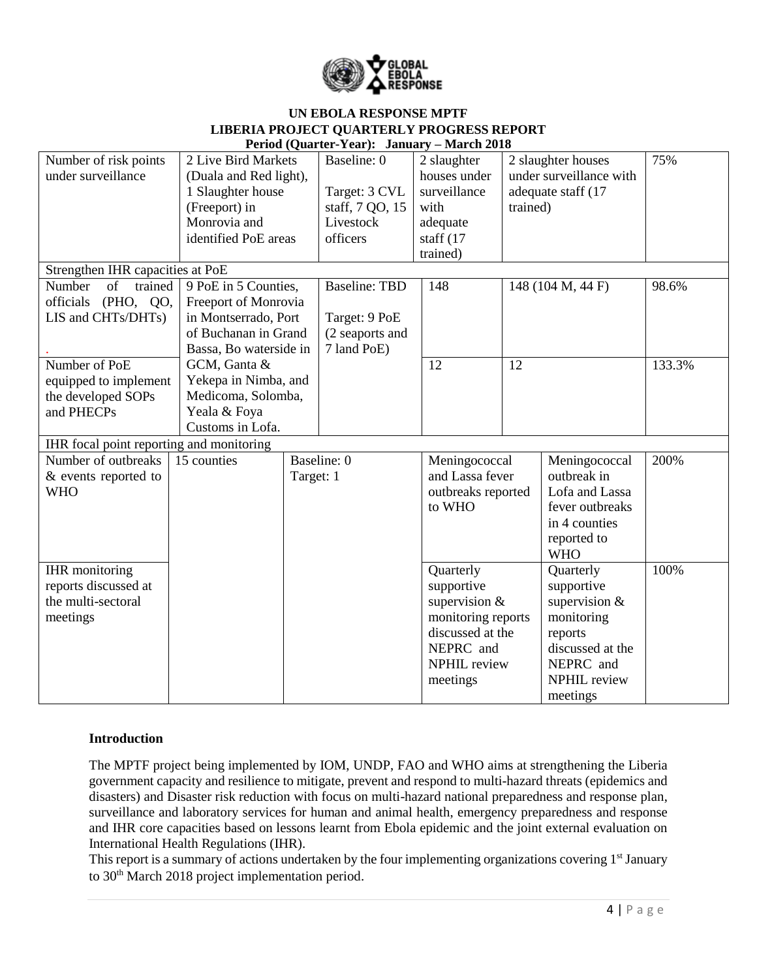

| Period (Quarter-Year): January – March 2018 |                        |           |                      |                                                                                                           |                   |                                                                                                              |        |
|---------------------------------------------|------------------------|-----------|----------------------|-----------------------------------------------------------------------------------------------------------|-------------------|--------------------------------------------------------------------------------------------------------------|--------|
| Number of risk points                       | 2 Live Bird Markets    |           | Baseline: 0          | 2 slaughter                                                                                               |                   | 2 slaughter houses                                                                                           | 75%    |
| under surveillance                          | (Duala and Red light), |           |                      | houses under                                                                                              |                   | under surveillance with                                                                                      |        |
|                                             | 1 Slaughter house      |           | Target: 3 CVL        | surveillance                                                                                              |                   | adequate staff (17                                                                                           |        |
|                                             | (Freeport) in          |           | staff, 7 QO, 15      | with                                                                                                      | trained)          |                                                                                                              |        |
|                                             | Monrovia and           |           | Livestock            | adequate                                                                                                  |                   |                                                                                                              |        |
|                                             | identified PoE areas   |           | officers             | staff (17                                                                                                 |                   |                                                                                                              |        |
|                                             |                        |           |                      | trained)                                                                                                  |                   |                                                                                                              |        |
| Strengthen IHR capacities at PoE            |                        |           |                      |                                                                                                           |                   |                                                                                                              |        |
| Number<br>of<br>trained                     | 9 PoE in 5 Counties,   |           | <b>Baseline: TBD</b> | 148                                                                                                       | 148 (104 M, 44 F) |                                                                                                              | 98.6%  |
| officials (PHO, QO,                         | Freeport of Monrovia   |           |                      |                                                                                                           |                   |                                                                                                              |        |
| LIS and CHTs/DHTs)                          | in Montserrado, Port   |           | Target: 9 PoE        |                                                                                                           |                   |                                                                                                              |        |
|                                             | of Buchanan in Grand   |           | (2 seaports and      |                                                                                                           |                   |                                                                                                              |        |
|                                             | Bassa, Bo waterside in |           | 7 land PoE)          |                                                                                                           |                   |                                                                                                              |        |
| Number of PoE                               | GCM, Ganta &           |           |                      | 12                                                                                                        | 12                |                                                                                                              | 133.3% |
| equipped to implement                       | Yekepa in Nimba, and   |           |                      |                                                                                                           |                   |                                                                                                              |        |
| the developed SOPs                          | Medicoma, Solomba,     |           |                      |                                                                                                           |                   |                                                                                                              |        |
| and PHECPs                                  | Yeala & Foya           |           |                      |                                                                                                           |                   |                                                                                                              |        |
|                                             | Customs in Lofa.       |           |                      |                                                                                                           |                   |                                                                                                              |        |
| IHR focal point reporting and monitoring    |                        |           |                      |                                                                                                           |                   |                                                                                                              |        |
| Number of outbreaks                         | 15 counties            |           | Baseline: 0          | Meningococcal                                                                                             |                   | Meningococcal                                                                                                | 200%   |
| & events reported to                        |                        | Target: 1 |                      | and Lassa fever                                                                                           |                   | outbreak in                                                                                                  |        |
| <b>WHO</b>                                  |                        |           |                      | outbreaks reported                                                                                        |                   | Lofa and Lassa                                                                                               |        |
|                                             |                        |           |                      | to WHO                                                                                                    |                   | fever outbreaks                                                                                              |        |
|                                             |                        |           |                      |                                                                                                           |                   | in 4 counties                                                                                                |        |
|                                             |                        |           |                      |                                                                                                           |                   | reported to                                                                                                  |        |
|                                             |                        |           |                      |                                                                                                           |                   | <b>WHO</b>                                                                                                   |        |
| <b>IHR</b> monitoring                       |                        |           |                      | Quarterly                                                                                                 |                   | Quarterly                                                                                                    | 100%   |
| reports discussed at                        |                        |           |                      | supportive                                                                                                |                   | supportive                                                                                                   |        |
|                                             |                        |           |                      |                                                                                                           |                   |                                                                                                              |        |
|                                             |                        |           |                      |                                                                                                           |                   |                                                                                                              |        |
|                                             |                        |           |                      |                                                                                                           |                   |                                                                                                              |        |
|                                             |                        |           |                      |                                                                                                           |                   |                                                                                                              |        |
|                                             |                        |           |                      |                                                                                                           |                   |                                                                                                              |        |
|                                             |                        |           |                      |                                                                                                           |                   |                                                                                                              |        |
|                                             |                        |           |                      |                                                                                                           |                   |                                                                                                              |        |
| the multi-sectoral<br>meetings              |                        |           |                      | supervision $&$<br>monitoring reports<br>discussed at the<br>NEPRC and<br><b>NPHIL</b> review<br>meetings |                   | supervision $&$<br>monitoring<br>reports<br>discussed at the<br>NEPRC and<br><b>NPHIL</b> review<br>meetings |        |

### **Introduction**

The MPTF project being implemented by IOM, UNDP, FAO and WHO aims at strengthening the Liberia government capacity and resilience to mitigate, prevent and respond to multi-hazard threats (epidemics and disasters) and Disaster risk reduction with focus on multi-hazard national preparedness and response plan, surveillance and laboratory services for human and animal health, emergency preparedness and response and IHR core capacities based on lessons learnt from Ebola epidemic and the joint external evaluation on International Health Regulations (IHR).

This report is a summary of actions undertaken by the four implementing organizations covering 1<sup>st</sup> January to 30<sup>th</sup> March 2018 project implementation period.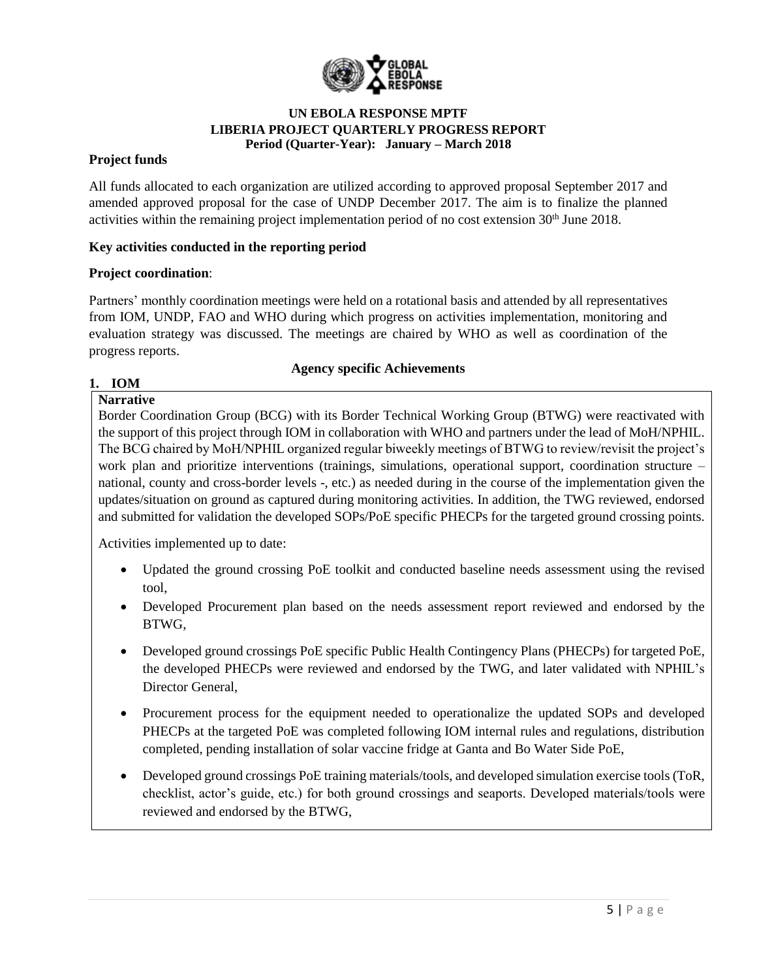

### **Project funds**

All funds allocated to each organization are utilized according to approved proposal September 2017 and amended approved proposal for the case of UNDP December 2017. The aim is to finalize the planned activities within the remaining project implementation period of no cost extension  $30<sup>th</sup>$  June 2018.

### **Key activities conducted in the reporting period**

### **Project coordination**:

Partners' monthly coordination meetings were held on a rotational basis and attended by all representatives from IOM, UNDP, FAO and WHO during which progress on activities implementation, monitoring and evaluation strategy was discussed. The meetings are chaired by WHO as well as coordination of the progress reports.

### **Agency specific Achievements**

### **1. IOM**

# **Narrative**

Border Coordination Group (BCG) with its Border Technical Working Group (BTWG) were reactivated with the support of this project through IOM in collaboration with WHO and partners under the lead of MoH/NPHIL. The BCG chaired by MoH/NPHIL organized regular biweekly meetings of BTWG to review/revisit the project's work plan and prioritize interventions (trainings, simulations, operational support, coordination structure – national, county and cross-border levels -, etc.) as needed during in the course of the implementation given the updates/situation on ground as captured during monitoring activities. In addition, the TWG reviewed, endorsed and submitted for validation the developed SOPs/PoE specific PHECPs for the targeted ground crossing points.

Activities implemented up to date:

- Updated the ground crossing PoE toolkit and conducted baseline needs assessment using the revised tool,
- Developed Procurement plan based on the needs assessment report reviewed and endorsed by the BTWG,
- Developed ground crossings PoE specific Public Health Contingency Plans (PHECPs) for targeted PoE, the developed PHECPs were reviewed and endorsed by the TWG, and later validated with NPHIL's Director General,
- Procurement process for the equipment needed to operationalize the updated SOPs and developed PHECPs at the targeted PoE was completed following IOM internal rules and regulations, distribution completed, pending installation of solar vaccine fridge at Ganta and Bo Water Side PoE,
- Developed ground crossings PoE training materials/tools, and developed simulation exercise tools (ToR, checklist, actor's guide, etc.) for both ground crossings and seaports. Developed materials/tools were reviewed and endorsed by the BTWG,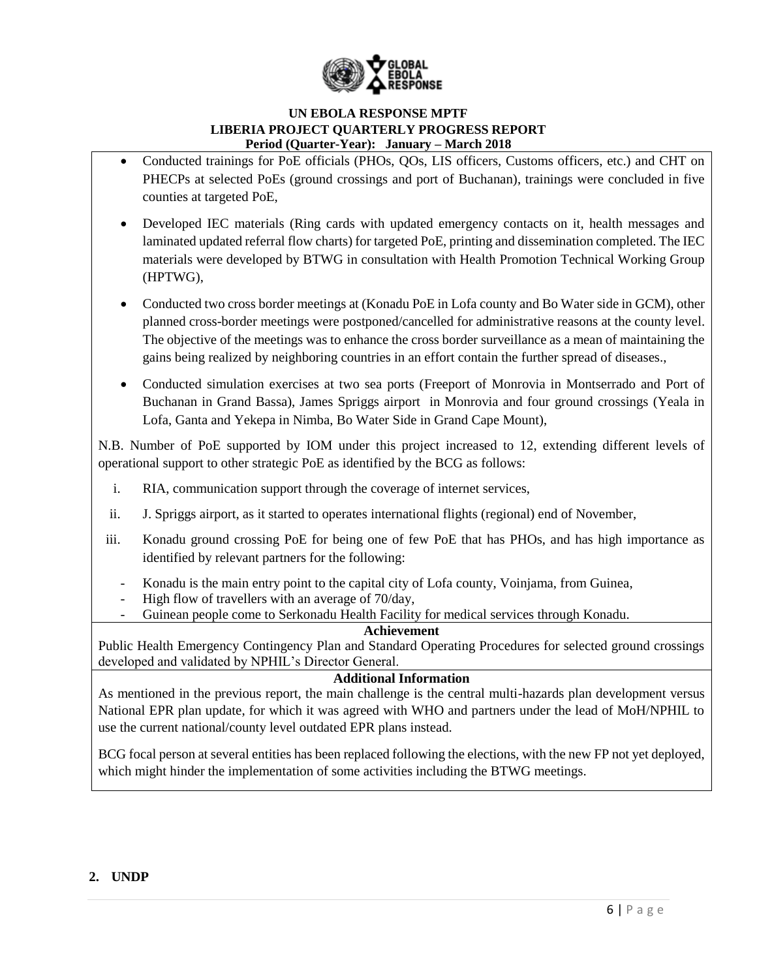

- Conducted trainings for PoE officials (PHOs, QOs, LIS officers, Customs officers, etc.) and CHT on PHECPs at selected PoEs (ground crossings and port of Buchanan), trainings were concluded in five counties at targeted PoE,
- Developed IEC materials (Ring cards with updated emergency contacts on it, health messages and laminated updated referral flow charts) for targeted PoE, printing and dissemination completed. The IEC materials were developed by BTWG in consultation with Health Promotion Technical Working Group (HPTWG),
- Conducted two cross border meetings at (Konadu PoE in Lofa county and Bo Water side in GCM), other planned cross-border meetings were postponed/cancelled for administrative reasons at the county level. The objective of the meetings was to enhance the cross border surveillance as a mean of maintaining the gains being realized by neighboring countries in an effort contain the further spread of diseases.,
- Conducted simulation exercises at two sea ports (Freeport of Monrovia in Montserrado and Port of Buchanan in Grand Bassa), James Spriggs airport in Monrovia and four ground crossings (Yeala in Lofa, Ganta and Yekepa in Nimba, Bo Water Side in Grand Cape Mount),

N.B. Number of PoE supported by IOM under this project increased to 12, extending different levels of operational support to other strategic PoE as identified by the BCG as follows:

- i. RIA, communication support through the coverage of internet services,
- ii. J. Spriggs airport, as it started to operates international flights (regional) end of November,
- iii. Konadu ground crossing PoE for being one of few PoE that has PHOs, and has high importance as identified by relevant partners for the following:
	- Konadu is the main entry point to the capital city of Lofa county, Voinjama, from Guinea,
	- High flow of travellers with an average of 70/day,
	- Guinean people come to Serkonadu Health Facility for medical services through Konadu.

### **Achievement**

Public Health Emergency Contingency Plan and Standard Operating Procedures for selected ground crossings developed and validated by NPHIL's Director General.

### **Additional Information**

As mentioned in the previous report, the main challenge is the central multi-hazards plan development versus National EPR plan update, for which it was agreed with WHO and partners under the lead of MoH/NPHIL to use the current national/county level outdated EPR plans instead.

BCG focal person at several entities has been replaced following the elections, with the new FP not yet deployed, which might hinder the implementation of some activities including the BTWG meetings.

### **2. UNDP**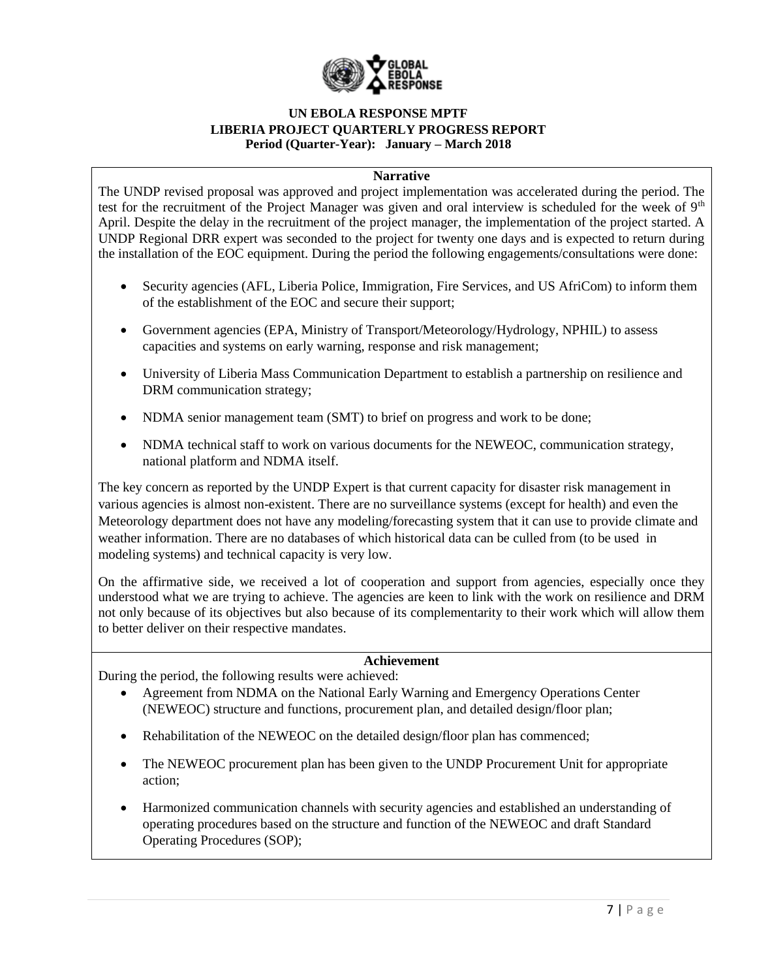

#### **Narrative**

The UNDP revised proposal was approved and project implementation was accelerated during the period. The test for the recruitment of the Project Manager was given and oral interview is scheduled for the week of  $9<sup>th</sup>$ April. Despite the delay in the recruitment of the project manager, the implementation of the project started. A UNDP Regional DRR expert was seconded to the project for twenty one days and is expected to return during the installation of the EOC equipment. During the period the following engagements/consultations were done:

- Security agencies (AFL, Liberia Police, Immigration, Fire Services, and US AfriCom) to inform them of the establishment of the EOC and secure their support;
- Government agencies (EPA, Ministry of Transport/Meteorology/Hydrology, NPHIL) to assess capacities and systems on early warning, response and risk management;
- University of Liberia Mass Communication Department to establish a partnership on resilience and DRM communication strategy;
- NDMA senior management team (SMT) to brief on progress and work to be done;
- NDMA technical staff to work on various documents for the NEWEOC, communication strategy, national platform and NDMA itself.

The key concern as reported by the UNDP Expert is that current capacity for disaster risk management in various agencies is almost non-existent. There are no surveillance systems (except for health) and even the Meteorology department does not have any modeling/forecasting system that it can use to provide climate and weather information. There are no databases of which historical data can be culled from (to be used in modeling systems) and technical capacity is very low.

On the affirmative side, we received a lot of cooperation and support from agencies, especially once they understood what we are trying to achieve. The agencies are keen to link with the work on resilience and DRM not only because of its objectives but also because of its complementarity to their work which will allow them to better deliver on their respective mandates.

### **Achievement**

During the period, the following results were achieved:

- Agreement from NDMA on the National Early Warning and Emergency Operations Center (NEWEOC) structure and functions, procurement plan, and detailed design/floor plan;
- Rehabilitation of the NEWEOC on the detailed design/floor plan has commenced;
- The NEWEOC procurement plan has been given to the UNDP Procurement Unit for appropriate action;
- Harmonized communication channels with security agencies and established an understanding of operating procedures based on the structure and function of the NEWEOC and draft Standard Operating Procedures (SOP);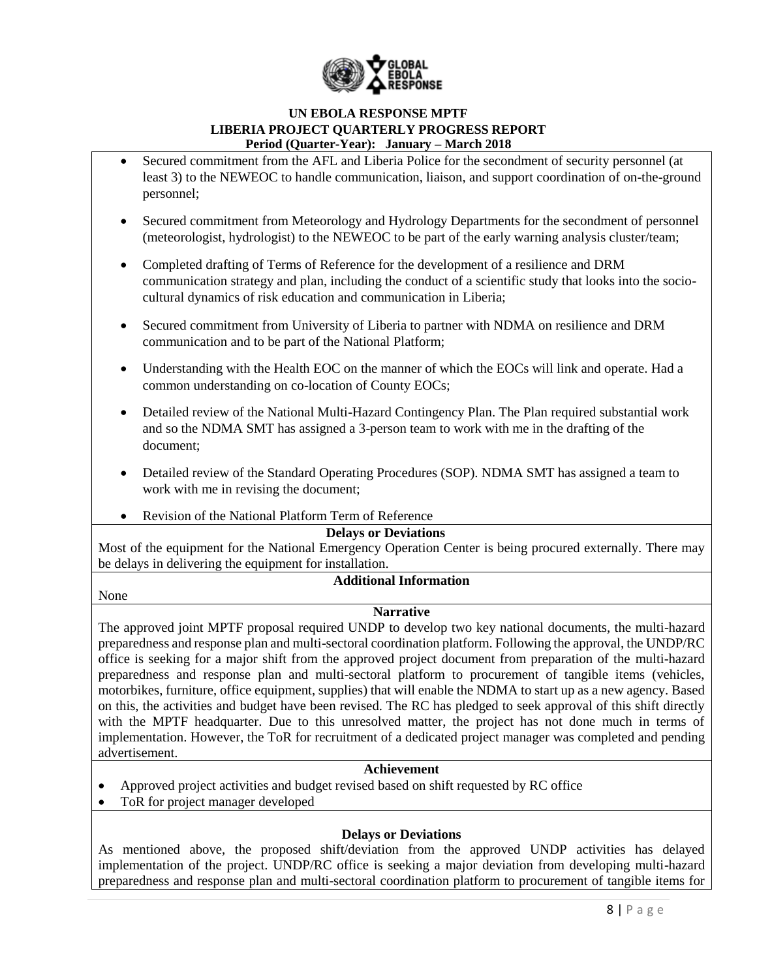

- Secured commitment from the AFL and Liberia Police for the secondment of security personnel (at least 3) to the NEWEOC to handle communication, liaison, and support coordination of on-the-ground personnel;
- Secured commitment from Meteorology and Hydrology Departments for the secondment of personnel (meteorologist, hydrologist) to the NEWEOC to be part of the early warning analysis cluster/team;
- Completed drafting of Terms of Reference for the development of a resilience and DRM communication strategy and plan, including the conduct of a scientific study that looks into the sociocultural dynamics of risk education and communication in Liberia;
- Secured commitment from University of Liberia to partner with NDMA on resilience and DRM communication and to be part of the National Platform;
- Understanding with the Health EOC on the manner of which the EOCs will link and operate. Had a common understanding on co-location of County EOCs;
- Detailed review of the National Multi-Hazard Contingency Plan. The Plan required substantial work and so the NDMA SMT has assigned a 3-person team to work with me in the drafting of the document;
- Detailed review of the Standard Operating Procedures (SOP). NDMA SMT has assigned a team to work with me in revising the document;
- Revision of the National Platform Term of Reference

### **Delays or Deviations**

Most of the equipment for the National Emergency Operation Center is being procured externally. There may be delays in delivering the equipment for installation.

None

## **Additional Information**

### **Narrative**

The approved joint MPTF proposal required UNDP to develop two key national documents, the multi-hazard preparedness and response plan and multi-sectoral coordination platform. Following the approval, the UNDP/RC office is seeking for a major shift from the approved project document from preparation of the multi-hazard preparedness and response plan and multi-sectoral platform to procurement of tangible items (vehicles, motorbikes, furniture, office equipment, supplies) that will enable the NDMA to start up as a new agency. Based on this, the activities and budget have been revised. The RC has pledged to seek approval of this shift directly with the MPTF headquarter. Due to this unresolved matter, the project has not done much in terms of implementation. However, the ToR for recruitment of a dedicated project manager was completed and pending advertisement.

### **Achievement**

- Approved project activities and budget revised based on shift requested by RC office
- ToR for project manager developed

### **Delays or Deviations**

As mentioned above, the proposed shift/deviation from the approved UNDP activities has delayed implementation of the project. UNDP/RC office is seeking a major deviation from developing multi-hazard preparedness and response plan and multi-sectoral coordination platform to procurement of tangible items for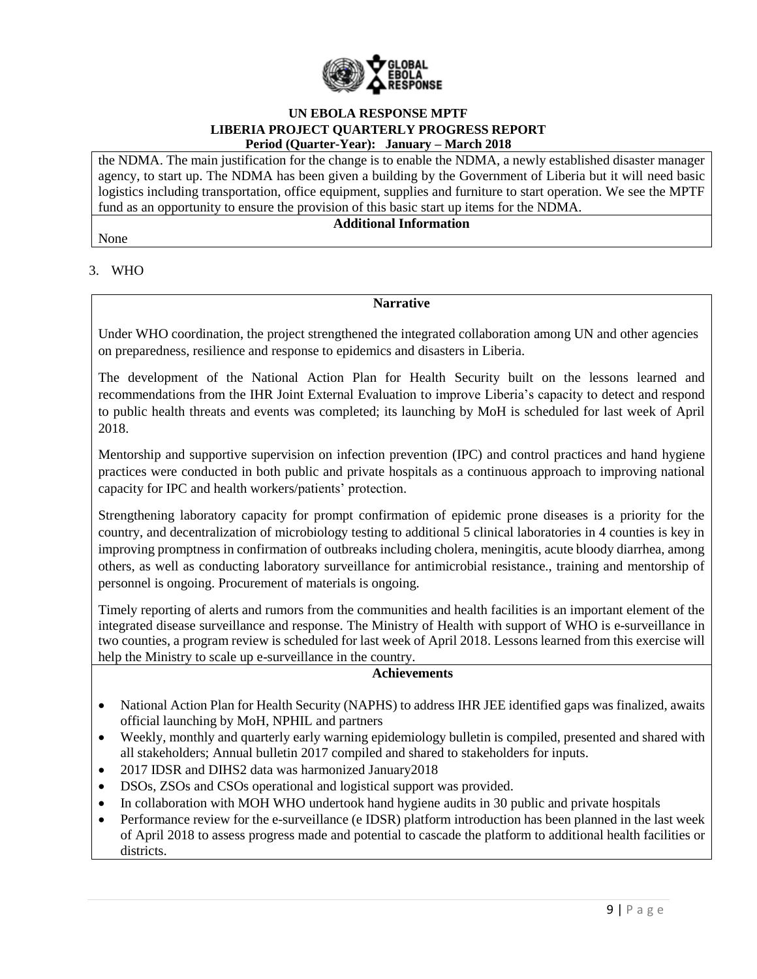

the NDMA. The main justification for the change is to enable the NDMA, a newly established disaster manager agency, to start up. The NDMA has been given a building by the Government of Liberia but it will need basic logistics including transportation, office equipment, supplies and furniture to start operation. We see the MPTF fund as an opportunity to ensure the provision of this basic start up items for the NDMA.

### **Additional Information**

None

### 3. WHO

### **Narrative**

Under WHO coordination, the project strengthened the integrated collaboration among UN and other agencies on preparedness, resilience and response to epidemics and disasters in Liberia.

The development of the National Action Plan for Health Security built on the lessons learned and recommendations from the IHR Joint External Evaluation to improve Liberia's capacity to detect and respond to public health threats and events was completed; its launching by MoH is scheduled for last week of April 2018.

Mentorship and supportive supervision on infection prevention (IPC) and control practices and hand hygiene practices were conducted in both public and private hospitals as a continuous approach to improving national capacity for IPC and health workers/patients' protection.

Strengthening laboratory capacity for prompt confirmation of epidemic prone diseases is a priority for the country, and decentralization of microbiology testing to additional 5 clinical laboratories in 4 counties is key in improving promptness in confirmation of outbreaks including cholera, meningitis, acute bloody diarrhea, among others, as well as conducting laboratory surveillance for antimicrobial resistance., training and mentorship of personnel is ongoing. Procurement of materials is ongoing.

Timely reporting of alerts and rumors from the communities and health facilities is an important element of the integrated disease surveillance and response. The Ministry of Health with support of WHO is e-surveillance in two counties, a program review is scheduled for last week of April 2018. Lessons learned from this exercise will help the Ministry to scale up e-surveillance in the country.

### **Achievements**

- National Action Plan for Health Security (NAPHS) to address IHR JEE identified gaps was finalized, awaits official launching by MoH, NPHIL and partners
- Weekly, monthly and quarterly early warning epidemiology bulletin is compiled, presented and shared with all stakeholders; Annual bulletin 2017 compiled and shared to stakeholders for inputs.
- 2017 IDSR and DIHS2 data was harmonized January2018
- DSOs, ZSOs and CSOs operational and logistical support was provided.
- In collaboration with MOH WHO undertook hand hygiene audits in 30 public and private hospitals
- Performance review for the e-surveillance (e IDSR) platform introduction has been planned in the last week of April 2018 to assess progress made and potential to cascade the platform to additional health facilities or districts.